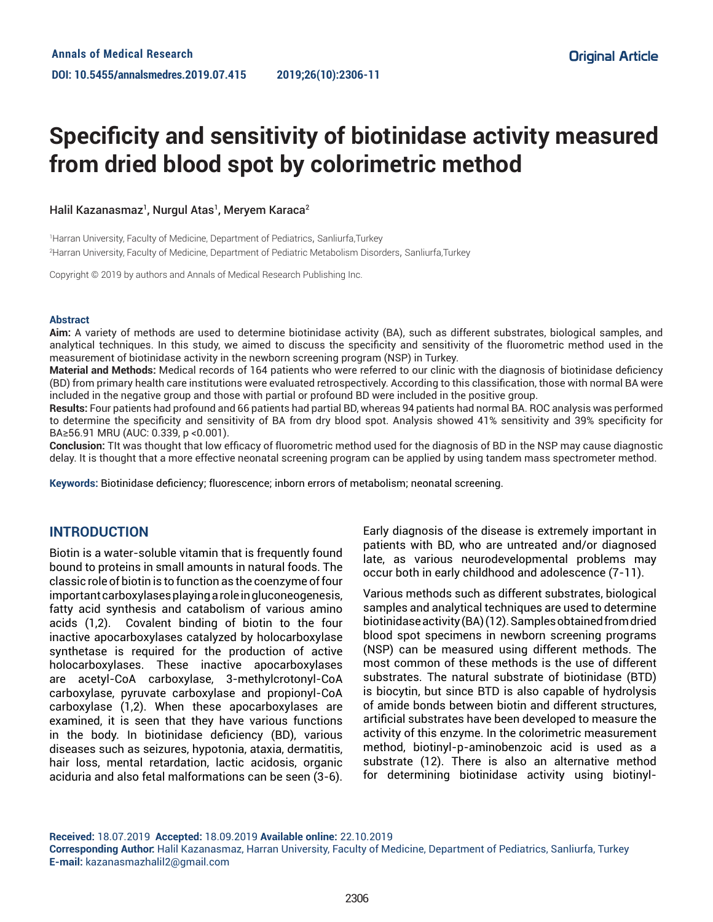# **Specificity and sensitivity of biotinidase activity measured from dried blood spot by colorimetric method**

### Halil Kazanasmaz<sup>1</sup>, Nurgul Atas<sup>1</sup>, Meryem Karaca<sup>2</sup>

1 Harran University, Faculty of Medicine, Department of Pediatrics, Sanliurfa,Turkey 2 Harran University, Faculty of Medicine, Department of Pediatric Metabolism Disorders, Sanliurfa,Turkey

Copyright © 2019 by authors and Annals of Medical Research Publishing Inc.

#### **Abstract**

**Aim:** A variety of methods are used to determine biotinidase activity (BA), such as different substrates, biological samples, and analytical techniques. In this study, we aimed to discuss the specificity and sensitivity of the fluorometric method used in the measurement of biotinidase activity in the newborn screening program (NSP) in Turkey.

**Material and Methods:** Medical records of 164 patients who were referred to our clinic with the diagnosis of biotinidase deficiency (BD) from primary health care institutions were evaluated retrospectively. According to this classification, those with normal BA were included in the negative group and those with partial or profound BD were included in the positive group.

**Results:** Four patients had profound and 66 patients had partial BD, whereas 94 patients had normal BA. ROC analysis was performed to determine the specificity and sensitivity of BA from dry blood spot. Analysis showed 41% sensitivity and 39% specificity for BA≥56.91 MRU (AUC: 0.339, p <0.001).

**Conclusion:** TIt was thought that low efficacy of fluorometric method used for the diagnosis of BD in the NSP may cause diagnostic delay. It is thought that a more effective neonatal screening program can be applied by using tandem mass spectrometer method.

**Keywords:** Biotinidase deficiency; fluorescence; inborn errors of metabolism; neonatal screening.

## **INTRODUCTION**

Biotin is a water-soluble vitamin that is frequently found bound to proteins in small amounts in natural foods. The classic role of biotin is to function as the coenzyme of four important carboxylases playing a role in gluconeogenesis, fatty acid synthesis and catabolism of various amino acids (1,2). Covalent binding of biotin to the four inactive apocarboxylases catalyzed by holocarboxylase synthetase is required for the production of active holocarboxylases. These inactive apocarboxylases are acetyl-CoA carboxylase, 3-methylcrotonyl-CoA carboxylase, pyruvate carboxylase and propionyl-CoA carboxylase (1,2). When these apocarboxylases are examined, it is seen that they have various functions in the body. In biotinidase deficiency (BD), various diseases such as seizures, hypotonia, ataxia, dermatitis, hair loss, mental retardation, lactic acidosis, organic aciduria and also fetal malformations can be seen (3-6).

Early diagnosis of the disease is extremely important in patients with BD, who are untreated and/or diagnosed late, as various neurodevelopmental problems may occur both in early childhood and adolescence (7-11).

Various methods such as different substrates, biological samples and analytical techniques are used to determine biotinidase activity (BA) (12). Samples obtained from dried blood spot specimens in newborn screening programs (NSP) can be measured using different methods. The most common of these methods is the use of different substrates. The natural substrate of biotinidase (BTD) is biocytin, but since BTD is also capable of hydrolysis of amide bonds between biotin and different structures, artificial substrates have been developed to measure the activity of this enzyme. In the colorimetric measurement method, biotinyl-p-aminobenzoic acid is used as a substrate (12). There is also an alternative method for determining biotinidase activity using biotinyl-

**Received:** 18.07.2019 **Accepted:** 18.09.2019 **Available online:** 22.10.2019 **Corresponding Author:** Halil Kazanasmaz, Harran University, Faculty of Medicine, Department of Pediatrics, Sanliurfa, Turkey **E-mail:** kazanasmazhalil2@gmail.com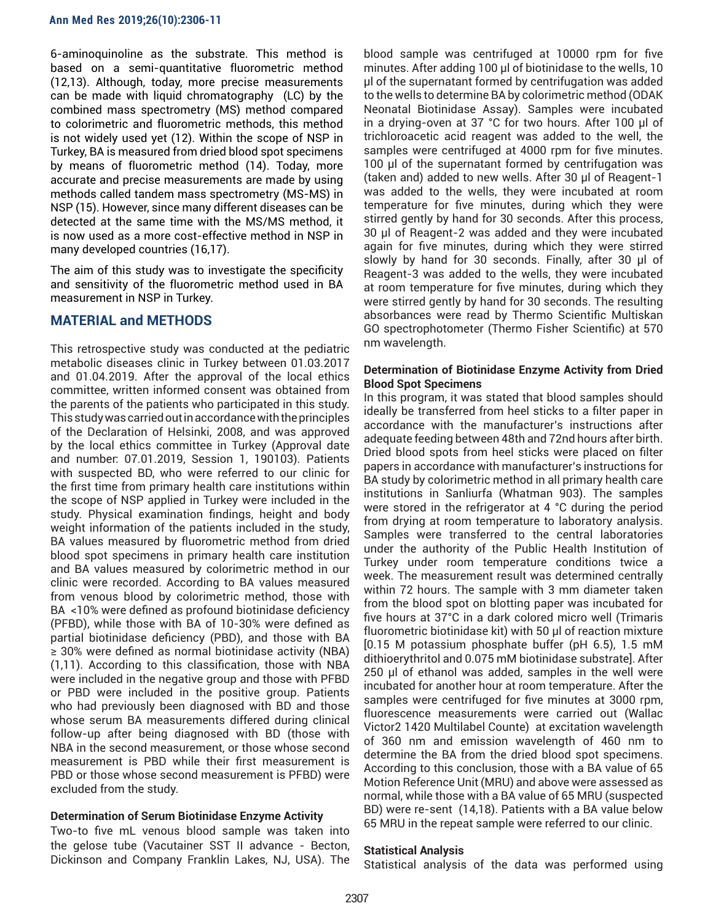6-aminoquinoline as the substrate. This method is based on a semi-quantitative fluorometric method (12,13). Although, today, more precise measurements can be made with liquid chromatography (LC) by the combined mass spectrometry (MS) method compared to colorimetric and fluorometric methods, this method is not widely used yet (12). Within the scope of NSP in Turkey, BA is measured from dried blood spot specimens by means of fluorometric method (14). Today, more accurate and precise measurements are made by using methods called tandem mass spectrometry (MS-MS) in NSP (15). However, since many different diseases can be detected at the same time with the MS/MS method, it is now used as a more cost-effective method in NSP in many developed countries (16,17).

The aim of this study was to investigate the specificity and sensitivity of the fluorometric method used in BA measurement in NSP in Turkey.

# **MATERIAL and METHODS**

This retrospective study was conducted at the pediatric metabolic diseases clinic in Turkey between 01.03.2017 and 01.04.2019. After the approval of the local ethics committee, written informed consent was obtained from the parents of the patients who participated in this study. This study was carried out in accordance with the principles of the Declaration of Helsinki, 2008, and was approved by the local ethics committee in Turkey (Approval date and number: 07.01.2019, Session 1, 190103). Patients with suspected BD, who were referred to our clinic for the first time from primary health care institutions within the scope of NSP applied in Turkey were included in the study. Physical examination findings, height and body weight information of the patients included in the study, BA values measured by fluorometric method from dried blood spot specimens in primary health care institution and BA values measured by colorimetric method in our clinic were recorded. According to BA values measured from venous blood by colorimetric method, those with BA <10% were defined as profound biotinidase deficiency (PFBD), while those with BA of 10-30% were defined as partial biotinidase deficiency (PBD), and those with BA ≥ 30% were defined as normal biotinidase activity (NBA) (1,11). According to this classification, those with NBA were included in the negative group and those with PFBD or PBD were included in the positive group. Patients who had previously been diagnosed with BD and those whose serum BA measurements differed during clinical follow-up after being diagnosed with BD (those with NBA in the second measurement, or those whose second measurement is PBD while their first measurement is PBD or those whose second measurement is PFBD) were excluded from the study.

## **Determination of Serum Biotinidase Enzyme Activity**

Two-to five mL venous blood sample was taken into the gelose tube (Vacutainer SST II advance - Becton, Dickinson and Company Franklin Lakes, NJ, USA). The

blood sample was centrifuged at 10000 rpm for five minutes. After adding 100 µl of biotinidase to the wells, 10 µl of the supernatant formed by centrifugation was added to the wells to determine BA by colorimetric method (ODAK Neonatal Biotinidase Assay). Samples were incubated in a drying-oven at 37 °C for two hours. After 100 µl of trichloroacetic acid reagent was added to the well, the samples were centrifuged at 4000 rpm for five minutes. 100 µl of the supernatant formed by centrifugation was (taken and) added to new wells. After 30 µl of Reagent-1 was added to the wells, they were incubated at room temperature for five minutes, during which they were stirred gently by hand for 30 seconds. After this process, 30 µl of Reagent-2 was added and they were incubated again for five minutes, during which they were stirred slowly by hand for 30 seconds. Finally, after 30 µl of Reagent-3 was added to the wells, they were incubated at room temperature for five minutes, during which they were stirred gently by hand for 30 seconds. The resulting absorbances were read by Thermo Scientific Multiskan GO spectrophotometer (Thermo Fisher Scientific) at 570 nm wavelength.

## **Determination of Biotinidase Enzyme Activity from Dried Blood Spot Specimens**

In this program, it was stated that blood samples should ideally be transferred from heel sticks to a filter paper in accordance with the manufacturer's instructions after adequate feeding between 48th and 72nd hours after birth. Dried blood spots from heel sticks were placed on filter papers in accordance with manufacturer's instructions for BA study by colorimetric method in all primary health care institutions in Sanliurfa (Whatman 903). The samples were stored in the refrigerator at 4 °C during the period from drying at room temperature to laboratory analysis. Samples were transferred to the central laboratories under the authority of the Public Health Institution of Turkey under room temperature conditions twice a week. The measurement result was determined centrally within 72 hours. The sample with 3 mm diameter taken from the blood spot on blotting paper was incubated for five hours at 37°C in a dark colored micro well (Trimaris fluorometric biotinidase kit) with 50 µl of reaction mixture [0.15 M potassium phosphate buffer (pH 6.5), 1.5 mM dithioerythritol and 0.075 mM biotinidase substrate]. After 250 µl of ethanol was added, samples in the well were incubated for another hour at room temperature. After the samples were centrifuged for five minutes at 3000 rpm, fluorescence measurements were carried out (Wallac Victor2 1420 Multilabel Counte) at excitation wavelength of 360 nm and emission wavelength of 460 nm to determine the BA from the dried blood spot specimens. According to this conclusion, those with a BA value of 65 Motion Reference Unit (MRU) and above were assessed as normal, while those with a BA value of 65 MRU (suspected BD) were re-sent (14,18). Patients with a BA value below 65 MRU in the repeat sample were referred to our clinic.

## **Statistical Analysis**

Statistical analysis of the data was performed using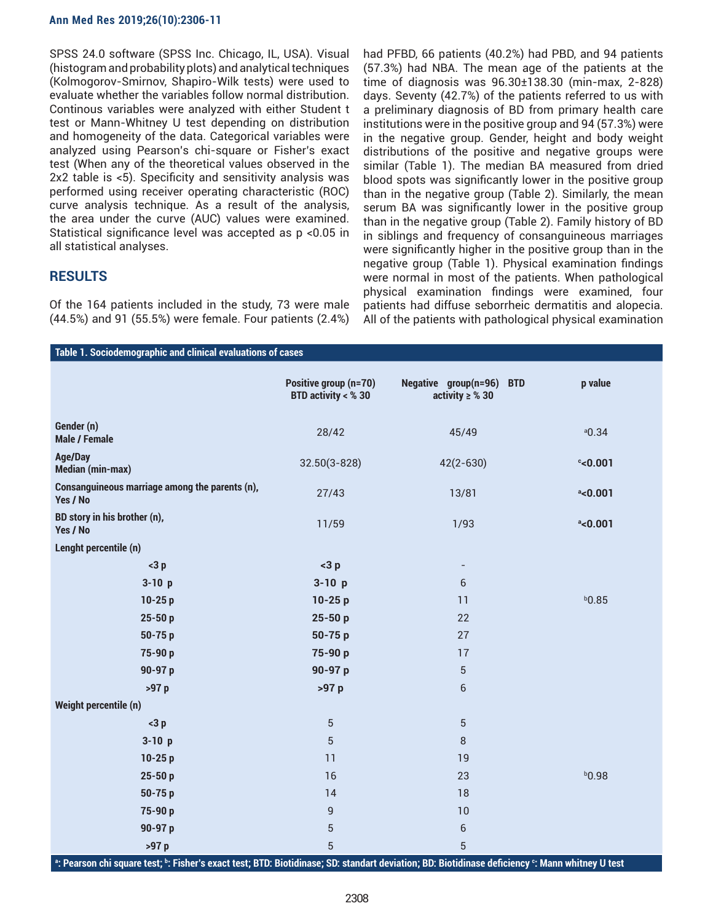#### **Ann Med Res 2019;26(10):2306-11**

SPSS 24.0 software (SPSS Inc. Chicago, IL, USA). Visual (histogram and probability plots) and analytical techniques (Kolmogorov-Smirnov, Shapiro-Wilk tests) were used to evaluate whether the variables follow normal distribution. Continous variables were analyzed with either Student t test or Mann-Whitney U test depending on distribution and homogeneity of the data. Categorical variables were analyzed using Pearson's chi-square or Fisher's exact test (When any of the theoretical values observed in the 2x2 table is <5). Specificity and sensitivity analysis was performed using receiver operating characteristic (ROC) curve analysis technique. As a result of the analysis, the area under the curve (AUC) values were examined. Statistical significance level was accepted as p <0.05 in all statistical analyses.

## **RESULTS**

Of the 164 patients included in the study, 73 were male (44.5%) and 91 (55.5%) were female. Four patients (2.4%)

had PFBD, 66 patients (40.2%) had PBD, and 94 patients (57.3%) had NBA. The mean age of the patients at the time of diagnosis was 96.30±138.30 (min-max, 2-828) days. Seventy (42.7%) of the patients referred to us with a preliminary diagnosis of BD from primary health care institutions were in the positive group and 94 (57.3%) were in the negative group. Gender, height and body weight distributions of the positive and negative groups were similar (Table 1). The median BA measured from dried blood spots was significantly lower in the positive group than in the negative group (Table 2). Similarly, the mean serum BA was significantly lower in the positive group than in the negative group (Table 2). Family history of BD in siblings and frequency of consanguineous marriages were significantly higher in the positive group than in the negative group (Table 1). Physical examination findings were normal in most of the patients. When pathological physical examination findings were examined, four patients had diffuse seborrheic dermatitis and alopecia. All of the patients with pathological physical examination

| Table 1. Sociodemographic and clinical evaluations of cases |                                                |                                                            |                     |  |
|-------------------------------------------------------------|------------------------------------------------|------------------------------------------------------------|---------------------|--|
|                                                             | Positive group (n=70)<br>BTD activity $<$ % 30 | Negative group(n=96)<br><b>BTD</b><br>activity $\geq$ % 30 | p value             |  |
| Gender (n)<br><b>Male / Female</b>                          | 28/42                                          | 45/49                                                      | $a$ <sub>0.34</sub> |  |
| <b>Age/Day</b><br><b>Median (min-max)</b>                   | $32.50(3 - 828)$                               | $42(2 - 630)$                                              | $c$ <0.001          |  |
| Consanguineous marriage among the parents (n),<br>Yes / No  | 27/43                                          | 13/81                                                      | $^a$ <0.001         |  |
| BD story in his brother (n),<br>Yes / No                    | 11/59                                          | 1/93                                                       | $a$ <0.001          |  |
| Lenght percentile (n)                                       |                                                |                                                            |                     |  |
| $<$ 3 p                                                     | $<$ 3 $p$                                      | $\overline{\phantom{a}}$                                   |                     |  |
| $3-10 p$                                                    | $3-10 p$                                       | $6\phantom{1}$                                             |                     |  |
| $10-25p$                                                    | $10-25p$                                       | 11                                                         | $b$ 0.85            |  |
| $25 - 50p$                                                  | 25-50 p                                        | 22                                                         |                     |  |
| $50 - 75p$                                                  | 50-75 p                                        | 27                                                         |                     |  |
| 75-90 p                                                     | 75-90 p                                        | 17                                                         |                     |  |
| 90-97 p                                                     | 90-97 p                                        | $\sqrt{5}$                                                 |                     |  |
| >97 p                                                       | >97 p                                          | $\sqrt{6}$                                                 |                     |  |
| Weight percentile (n)                                       |                                                |                                                            |                     |  |
| $<$ 3 p                                                     | $\sqrt{5}$                                     | $\sqrt{5}$                                                 |                     |  |
| $3-10 p$                                                    | $\sqrt{5}$                                     | 8                                                          |                     |  |
| $10-25p$                                                    | 11                                             | 19                                                         |                     |  |
| $25 - 50p$                                                  | 16                                             | 23                                                         | b0.98               |  |
| 50-75 p                                                     | 14                                             | 18                                                         |                     |  |
| 75-90 p                                                     | $\mathsf g$                                    | 10                                                         |                     |  |
| 90-97 p                                                     | $\sqrt{5}$                                     | $\,$ 6 $\,$                                                |                     |  |
| >97 p                                                       | $\overline{5}$                                 | $\overline{5}$                                             |                     |  |

**a : Pearson chi square test; b : Fisher's exact test; BTD: Biotidinase; SD: standart deviation; BD: Biotidinase deficiency <sup>c</sup> : Mann whitney U test**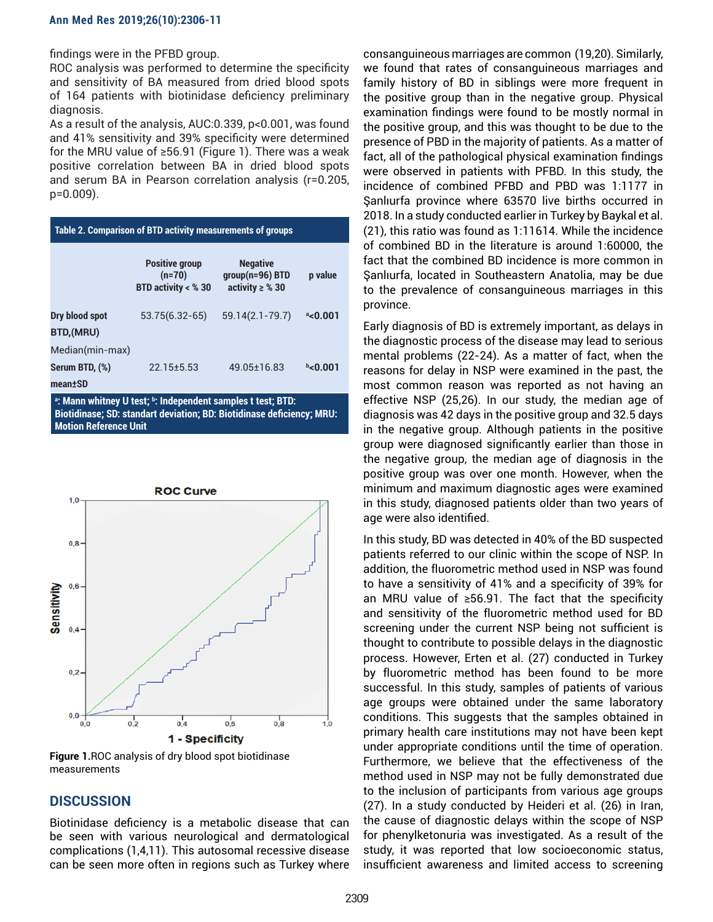findings were in the PFBD group.

ROC analysis was performed to determine the specificity and sensitivity of BA measured from dried blood spots of 164 patients with biotinidase deficiency preliminary diagnosis.

As a result of the analysis, AUC:0.339, p<0.001, was found and 41% sensitivity and 39% specificity were determined for the MRU value of ≥56.91 (Figure 1). There was a weak positive correlation between BA in dried blood spots and serum BA in Pearson correlation analysis (r=0.205, p=0.009).

| Table 2. Comparison of BTD activity measurements of groups  |                                                            |                                                              |             |  |
|-------------------------------------------------------------|------------------------------------------------------------|--------------------------------------------------------------|-------------|--|
|                                                             | <b>Positive group</b><br>$(n=70)$<br>BTD activity $<$ % 30 | <b>Negative</b><br>$qroup(n=96) BTD$<br>activity $\geq$ % 30 | p value     |  |
| Dry blood spot<br>BTD,(MRU)                                 | 53.75(6.32-65)                                             | $59.14(2.1 - 79.7)$                                          | $^a$ <0.001 |  |
| Median(min-max)<br>Serum BTD, (%)<br>mean±SD                | $22.15 \pm 5.53$                                           | 49.05±16.83                                                  | $b$ <0.001  |  |
| a: Mann whitney U test; b: Independent samples t test; BTD: |                                                            |                                                              |             |  |

**Biotidinase; SD: standart deviation; BD: Biotidinase deficiency; MRU: Motion Reference Unit**



**Figure 1.**ROC analysis of dry blood spot biotidinase measurements

# **DISCUSSION**

Biotinidase deficiency is a metabolic disease that can be seen with various neurological and dermatological complications (1,4,11). This autosomal recessive disease can be seen more often in regions such as Turkey where

consanguineous marriages are common (19,20). Similarly, we found that rates of consanguineous marriages and family history of BD in siblings were more frequent in the positive group than in the negative group. Physical examination findings were found to be mostly normal in the positive group, and this was thought to be due to the presence of PBD in the majority of patients. As a matter of fact, all of the pathological physical examination findings were observed in patients with PFBD. In this study, the incidence of combined PFBD and PBD was 1:1177 in Şanlıurfa province where 63570 live births occurred in 2018. In a study conducted earlier in Turkey by Baykal et al. (21), this ratio was found as 1:11614. While the incidence of combined BD in the literature is around 1:60000, the fact that the combined BD incidence is more common in Şanlıurfa, located in Southeastern Anatolia, may be due to the prevalence of consanguineous marriages in this province.

Early diagnosis of BD is extremely important, as delays in the diagnostic process of the disease may lead to serious mental problems (22-24). As a matter of fact, when the reasons for delay in NSP were examined in the past, the most common reason was reported as not having an effective NSP (25,26). In our study, the median age of diagnosis was 42 days in the positive group and 32.5 days in the negative group. Although patients in the positive group were diagnosed significantly earlier than those in the negative group, the median age of diagnosis in the positive group was over one month. However, when the minimum and maximum diagnostic ages were examined in this study, diagnosed patients older than two years of age were also identified.

In this study, BD was detected in 40% of the BD suspected patients referred to our clinic within the scope of NSP. In addition, the fluorometric method used in NSP was found to have a sensitivity of 41% and a specificity of 39% for an MRU value of ≥56.91. The fact that the specificity and sensitivity of the fluorometric method used for BD screening under the current NSP being not sufficient is thought to contribute to possible delays in the diagnostic process. However, Erten et al. (27) conducted in Turkey by fluorometric method has been found to be more successful. In this study, samples of patients of various age groups were obtained under the same laboratory conditions. This suggests that the samples obtained in primary health care institutions may not have been kept under appropriate conditions until the time of operation. Furthermore, we believe that the effectiveness of the method used in NSP may not be fully demonstrated due to the inclusion of participants from various age groups (27). In a study conducted by Heideri et al. (26) in Iran, the cause of diagnostic delays within the scope of NSP for phenylketonuria was investigated. As a result of the study, it was reported that low socioeconomic status, insufficient awareness and limited access to screening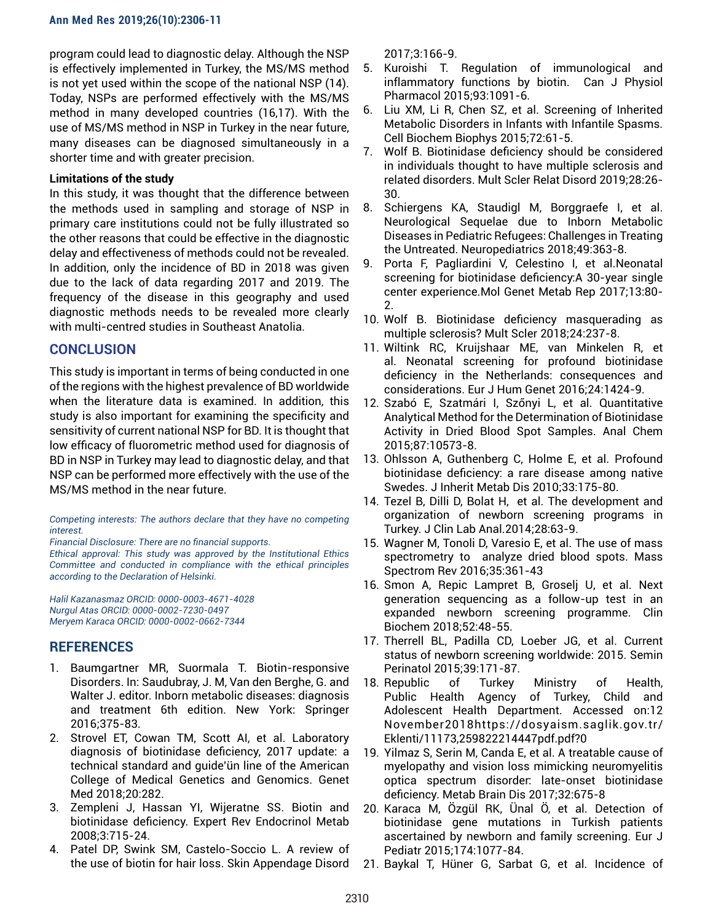program could lead to diagnostic delay. Although the NSP is effectively implemented in Turkey, the MS/MS method is not yet used within the scope of the national NSP (14). Today, NSPs are performed effectively with the MS/MS method in many developed countries (16,17). With the use of MS/MS method in NSP in Turkey in the near future, many diseases can be diagnosed simultaneously in a shorter time and with greater precision.

## **Limitations of the study**

In this study, it was thought that the difference between the methods used in sampling and storage of NSP in primary care institutions could not be fully illustrated so the other reasons that could be effective in the diagnostic delay and effectiveness of methods could not be revealed. In addition, only the incidence of BD in 2018 was given due to the lack of data regarding 2017 and 2019. The frequency of the disease in this geography and used diagnostic methods needs to be revealed more clearly with multi-centred studies in Southeast Anatolia.

# **CONCLUSION**

This study is important in terms of being conducted in one of the regions with the highest prevalence of BD worldwide when the literature data is examined. In addition, this study is also important for examining the specificity and sensitivity of current national NSP for BD. It is thought that low efficacy of fluorometric method used for diagnosis of BD in NSP in Turkey may lead to diagnostic delay, and that NSP can be performed more effectively with the use of the MS/MS method in the near future.

#### *Competing interests: The authors declare that they have no competing interest.*

*Financial Disclosure: There are no financial supports.* 

*Ethical approval: This study was approved by the Institutional Ethics Committee and conducted in compliance with the ethical principles according to the Declaration of Helsinki.* 

*Halil Kazanasmaz ORCID: 0000-0003-4671-4028 Nurgul Atas ORCID: 0000-0002-7230-0497 Meryem Karaca ORCID: 0000-0002-0662-7344*

# **REFERENCES**

- 1. Baumgartner MR, Suormala T. Biotin-responsive Disorders. In: Saudubray, J. M, Van den Berghe, G. and Walter J. editor. Inborn metabolic diseases: diagnosis and treatment 6th edition. New York: Springer 2016;375-83.
- 2. Strovel ET, Cowan TM, Scott AI, et al. Laboratory diagnosis of biotinidase deficiency, 2017 update: a technical standard and guide'ün line of the American College of Medical Genetics and Genomics. Genet Med 2018;20:282.
- 3. Zempleni J, Hassan YI, Wijeratne SS. Biotin and biotinidase deficiency. Expert Rev Endocrinol Metab 2008;3:715-24.
- 4. Patel DP, Swink SM, Castelo-Soccio L. A review of the use of biotin for hair loss. Skin Appendage Disord

2017;3:166-9.

- 5. Kuroishi T. Regulation of immunological and inflammatory functions by biotin. Can J Physiol Pharmacol 2015;93:1091-6.
- 6. Liu XM, Li R, Chen SZ, et al. Screening of Inherited Metabolic Disorders in Infants with Infantile Spasms. Cell Biochem Biophys 2015;72:61-5.
- 7. Wolf B. Biotinidase deficiency should be considered in individuals thought to have multiple sclerosis and related disorders. Mult Scler Relat Disord 2019;28:26- 30.
- 8. Schiergens KA, Staudigl M, Borggraefe I, et al. Neurological Sequelae due to Inborn Metabolic Diseases in Pediatric Refugees: Challenges in Treating the Untreated. Neuropediatrics 2018;49:363-8.
- 9. Porta F, Pagliardini V, Celestino I, et al.Neonatal screening for biotinidase deficiency:A 30-year single center experience.Mol Genet Metab Rep 2017;13:80- 2.
- 10. Wolf B. Biotinidase deficiency masquerading as multiple sclerosis? Mult Scler 2018;24:237-8.
- 11. Wiltink RC, Kruijshaar ME, van Minkelen R, et al. Neonatal screening for profound biotinidase deficiency in the Netherlands: consequences and considerations. Eur J Hum Genet 2016;24:1424-9.
- 12. Szabó E, Szatmári I, Szőnyi L, et al. Quantitative Analytical Method for the Determination of Biotinidase Activity in Dried Blood Spot Samples. Anal Chem 2015;87:10573-8.
- 13. Ohlsson A, Guthenberg C, Holme E, et al. Profound biotinidase deficiency: a rare disease among native Swedes. J Inherit Metab Dis 2010;33:175-80.
- 14. Tezel B, Dilli D, Bolat H, et al. The development and organization of newborn screening programs in Turkey. J Clin Lab Anal.2014;28:63-9.
- 15. Wagner M, Tonoli D, Varesio E, et al. The use of mass spectrometry to analyze dried blood spots. Mass Spectrom Rev 2016;35:361-43
- 16. Smon A, Repic Lampret B, Groselj U, et al. Next generation sequencing as a follow-up test in an expanded newborn screening programme. Clin Biochem 2018;52:48-55.
- 17. Therrell BL, Padilla CD, Loeber JG, et al. Current status of newborn screening worldwide: 2015. Semin Perinatol 2015;39:171-87.
- 18. Republic of Turkey Ministry of Health, Public Health Agency of Turkey, Child and Adolescent Health Department. Accessed on:12 November2018https://dosyaism.saglik.gov.tr/ Eklenti/11173,259822214447pdf.pdf?0
- 19. Yilmaz S, Serin M, Canda E, et al. A treatable cause of myelopathy and vision loss mimicking neuromyelitis optica spectrum disorder: late-onset biotinidase deficiency. Metab Brain Dis 2017;32:675-8
- 20. Karaca M, Özgül RK, Ünal Ö, et al. Detection of biotinidase gene mutations in Turkish patients ascertained by newborn and family screening. Eur J Pediatr 2015;174:1077-84.
- 21. Baykal T, Hüner G, Sarbat G, et al. Incidence of